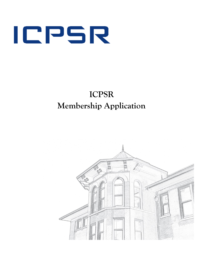

# **ICPSR Membership Application**

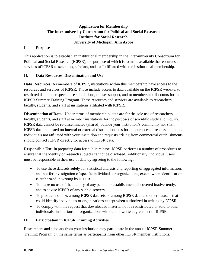# **Application for Membership The Inter-university Consortium for Political and Social Research Institute for Social Research University of Michigan, Ann Arbor**

## **I. Purpose**

This application is to establish an institutional membership in the Inter-university Consortium for Political and Social Research (ICPSR), the purpose of which is to make available the resources and services of ICPSR to scientists, scholars, and staff affiliated with the institutional membership.

# **II. Data Resources, Dissemination and Use**

**Data Resources**. As members of ICPSR, institutions within this membership have access to the resources and services of ICPSR. Those include access to data available on the ICPSR website, to restricted data under special use stipulations, to user support, and to membership discounts for the ICPSR Summer Training Program. These resources and services are available to researchers, faculty, students, and staff at institutions affiliated with ICPSR.

**Dissemination of Data**. Under terms of membership, data are for the sole use of researchers, faculty, students, and staff at member institutions for the purposes of scientific study and inquiry. ICPSR data cannot be re-disseminated (shared) outside your institution's community nor shall ICPSR data be posted on internal or external distribution sites for the purposes of re-dissemination. Individuals not affiliated with your institution and requests arising from commercial establishments should contact ICPSR directly for access to ICPSR data.

**Responsible Use**. In preparing data for public release, ICPSR performs a number of procedures to ensure that the identity of research subjects cannot be disclosed. Additionally, individual users must be responsible in their use of data by agreeing to the following:

- To use these datasets **solely** for statistical analysis and reporting of aggregated information, and not for investigation of specific individuals or organizations, except when identification is authorized in writing by ICPSR
- To make no use of the identity of any person or establishment discovered inadvertently, and to advise ICPSR of any such discovery
- To produce no links among ICPSR datasets or among ICPSR data and other datasets that could identify individuals or organizations except when authorized in writing by ICPSR
- To comply with the request that downloaded material not be redistributed or sold to other individuals, institutions, or organizations without the written agreement of ICPSR

# **III. Participation in ICPSR Training Activities**

Researchers and scholars from your institution may participate in the annual ICPSR Summer Training Program on the same terms as participants from other ICPSR member institutions.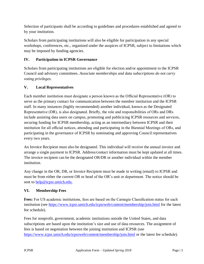Selection of participants shall be according to guidelines and procedures established and agreed to by your institution.

Scholars from participating institutions will also be eligible for participation in any special workshops, conferences, etc., organized under the auspices of ICPSR, subject to limitations which may be imposed by funding agencies.

# **IV. Participation in ICPSR Governance**

Scholars from participating institutions are eligible for election and/or appointment to the ICPSR Council and advisory committees. *Associate memberships and data subscriptions do not carry voting privileges.*

# **V. Local Representatives**

Each member institution must designate a person known as the Official Representative (OR) to serve as the primary contact for communication between the member institution and the ICPSR staff. In many instances (highly recommended) another individual, known as the Designated Representative (DR), is also designated. Briefly, the role and responsibilities of ORs and DRs include assisting data users on campus, promoting and publicizing ICPSR resources and services, securing funding for ICPSR membership, acting as an intermediary between ICPSR and their institution for all official notices, attending and participating in the Biennial Meetings of ORs, and participating in the governance of ICPSR by nominating and approving Council representatives every two years.

An Invoice Recipient must also be designated. This individual will receive the annual invoice and arrange a single payment to ICPSR. Address/contact information must be kept updated at all times. The invoice recipient can be the designated OR/DR or another individual within the member institution.

Any change in the OR, DR, or Invoice Recipient must be made in writing (email) to ICPSR and must be from either the current OR or head of the OR's unit or department. The notice should be sent to [help@icpsr.umich.edu.](mailto:help@icpsr.umich.edu.)

# **VI. Membership Fees**

**Fees:** For US academic institutions, fees are based on the Carnegie Classification status for each institution (see<https://www.icpsr.umich.edu/icpsrweb/content/membership/join.html> for the latest fee schedule).

Fees for nonprofit, government, academic institutions outside the United States, and data subscriptions are based upon the institution's size and use of data resources. The assignment of fees is based on negotiation between the joining institution and ICPSR (see <https://www.icpsr.umich.edu/icpsrweb/content/membership/join.html> or the latest fee schedule).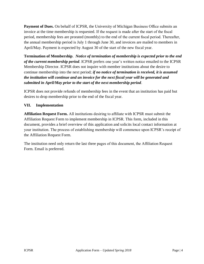**Payment of Dues.** On behalf of ICPSR, the University of Michigan Business Office submits an invoice at the time membership is requested. If the request is made after the start of the fiscal period, membership fees are prorated (monthly) to the end of the current fiscal period. Thereafter, the annual membership period is July 1 through June 30, and invoices are mailed to members in April/May. Payment is expected by August 30 of the start of the new fiscal year.

**Termination of Membership**. *Notice of termination of membership is expected prior to the end of the current membership period*. ICPSR prefers one year's written notice emailed to the ICPSR Membership Director. ICPSR does not inquire with member institutions about the desire to continue membership into the next period; *if no notice of termination is received, it is assumed the institution will continue and an invoice for the next fiscal year will be generated and submitted in April/May prior to the start of the next membership period*.

ICPSR does not provide refunds of membership fees in the event that an institution has paid but desires to drop membership prior to the end of the fiscal year.

# **VII. Implementation**

**Affiliation Request Form.** All institutions desiring to affiliate with ICPSR must submit the Affiliation Request Form to implement membership in ICPSR. This form, included in this document, provides a brief overview of this application and solicits local contact information at your institution. The process of establishing membership will commence upon ICPSR's receipt of the Affiliation Request Form.

The institution need only return the last three pages of this document, the Affiliation Request Form. Email is preferred.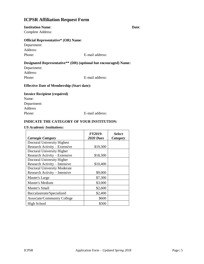# **ICPSR Affiliation Request Form**

#### **Institution Name**: **Date**:

Complete Address:

#### **Official Representative\* (OR) Name**:

Department: Address:

Phone: E-mail address:

# **Designated Representative\*\* (DR) (optional but encouraged) Name:**

Department: Address:

Phone: E-mail address:

#### **Effective Date of Membership (Start date):**

## **Invoice Recipient (required)** Name:

Department: Address

Phone: E-mail address:

## **INDICATE THE CATEGORY OF YOUR INSTITUTION:**

#### *US Academic Institutions:*

|                               | FY2019-          | <b>Select</b> |
|-------------------------------|------------------|---------------|
| <b>Carnegie Category</b>      | <b>2020 Dues</b> | Category      |
| Doctoral University Highest   |                  |               |
| Research Activity - Extensive | \$19,300         |               |
| Doctoral University Higher    |                  |               |
| Research Activity - Extensive | \$18,300         |               |
| Doctoral University Higher    |                  |               |
| Research Activity - Intensive | \$10,400         |               |
| Doctoral University Moderate  |                  |               |
| Research Activity - Intensive | \$9,000          |               |
| Master's Large                | \$7,300          |               |
| <b>Master's Medium</b>        | \$3,000          |               |
| Master's Small                | \$2,600          |               |
| Baccalaureate/Specialized     | \$2,400          |               |
| Associate/Community College   | \$600            |               |
| <b>High School</b>            | \$500            |               |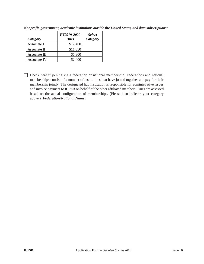| Category      | FY2019-2020<br><b>Dues</b> | <b>Select</b><br><b>Category</b> |
|---------------|----------------------------|----------------------------------|
| Associate I   | \$17,400                   |                                  |
| Associate II  | \$11,550                   |                                  |
| Associate III | \$5,800                    |                                  |
| Associate IV  | \$2,400                    |                                  |

*Nonprofit, government, academic institutions outside the United States, and data subscriptions:*

 Check here if joining via a federation or national membership. Federations and national memberships consist of a number of institutions that have joined together and pay for their membership jointly. The designated hub institution is responsible for administrative issues and invoice payment to ICPSR on behalf of the other affiliated members. Dues are assessed based on the actual configuration of memberships. (Please also indicate your category above.) *Federation/National Name*: